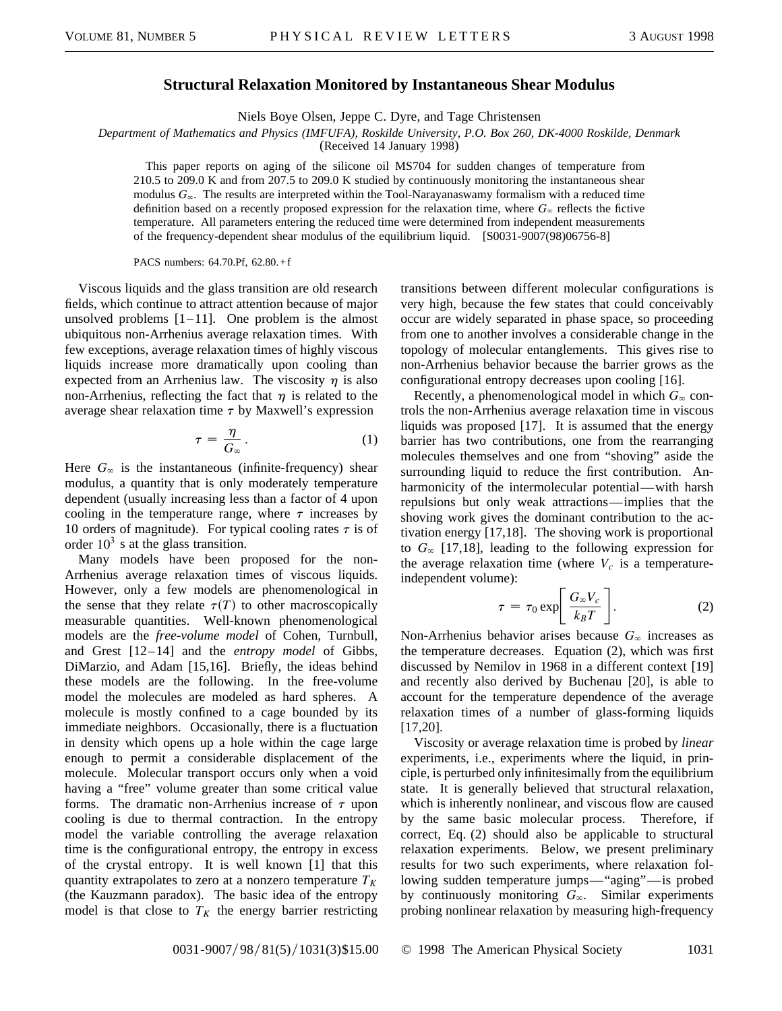## **Structural Relaxation Monitored by Instantaneous Shear Modulus**

Niels Boye Olsen, Jeppe C. Dyre, and Tage Christensen

*Department of Mathematics and Physics (IMFUFA), Roskilde University, P.O. Box 260, DK-4000 Roskilde, Denmark*

(Received 14 January 1998)

This paper reports on aging of the silicone oil MS704 for sudden changes of temperature from 210.5 to 209.0 K and from 207.5 to 209.0 K studied by continuously monitoring the instantaneous shear modulus  $G_{\infty}$ . The results are interpreted within the Tool-Narayanaswamy formalism with a reduced time definition based on a recently proposed expression for the relaxation time, where  $G_{\infty}$  reflects the fictive temperature. All parameters entering the reduced time were determined from independent measurements of the frequency-dependent shear modulus of the equilibrium liquid. [S0031-9007(98)06756-8]

PACS numbers: 64.70.Pf, 62.80.+f

Viscous liquids and the glass transition are old research fields, which continue to attract attention because of major unsolved problems  $[1-11]$ . One problem is the almost ubiquitous non-Arrhenius average relaxation times. With few exceptions, average relaxation times of highly viscous liquids increase more dramatically upon cooling than expected from an Arrhenius law. The viscosity  $\eta$  is also non-Arrhenius, reflecting the fact that  $\eta$  is related to the average shear relaxation time  $\tau$  by Maxwell's expression

$$
\tau = \frac{\eta}{G_{\infty}}.\tag{1}
$$

Here  $G_{\infty}$  is the instantaneous (infinite-frequency) shear modulus, a quantity that is only moderately temperature dependent (usually increasing less than a factor of 4 upon cooling in the temperature range, where  $\tau$  increases by 10 orders of magnitude). For typical cooling rates  $\tau$  is of order  $10^3$  s at the glass transition.

Many models have been proposed for the non-Arrhenius average relaxation times of viscous liquids. However, only a few models are phenomenological in the sense that they relate  $\tau(T)$  to other macroscopically measurable quantities. Well-known phenomenological models are the *free-volume model* of Cohen, Turnbull, and Grest [12–14] and the *entropy model* of Gibbs, DiMarzio, and Adam [15,16]. Briefly, the ideas behind these models are the following. In the free-volume model the molecules are modeled as hard spheres. A molecule is mostly confined to a cage bounded by its immediate neighbors. Occasionally, there is a fluctuation in density which opens up a hole within the cage large enough to permit a considerable displacement of the molecule. Molecular transport occurs only when a void having a "free" volume greater than some critical value forms. The dramatic non-Arrhenius increase of  $\tau$  upon cooling is due to thermal contraction. In the entropy model the variable controlling the average relaxation time is the configurational entropy, the entropy in excess of the crystal entropy. It is well known [1] that this quantity extrapolates to zero at a nonzero temperature  $T_K$ (the Kauzmann paradox). The basic idea of the entropy model is that close to  $T_K$  the energy barrier restricting

transitions between different molecular configurations is very high, because the few states that could conceivably occur are widely separated in phase space, so proceeding from one to another involves a considerable change in the topology of molecular entanglements. This gives rise to non-Arrhenius behavior because the barrier grows as the configurational entropy decreases upon cooling [16].

Recently, a phenomenological model in which  $G_{\infty}$  controls the non-Arrhenius average relaxation time in viscous liquids was proposed [17]. It is assumed that the energy barrier has two contributions, one from the rearranging molecules themselves and one from "shoving" aside the surrounding liquid to reduce the first contribution. Anharmonicity of the intermolecular potential—with harsh repulsions but only weak attractions—implies that the shoving work gives the dominant contribution to the activation energy [17,18]. The shoving work is proportional to  $G_{\infty}$  [17,18], leading to the following expression for the average relaxation time (where  $V_c$  is a temperatureindependent volume):

$$
\tau = \tau_0 \exp\left[\frac{G_{\infty}V_c}{k_B T}\right].
$$
 (2)

Non-Arrhenius behavior arises because  $G_{\infty}$  increases as the temperature decreases. Equation (2), which was first discussed by Nemilov in 1968 in a different context [19] and recently also derived by Buchenau [20], is able to account for the temperature dependence of the average relaxation times of a number of glass-forming liquids [17,20].

Viscosity or average relaxation time is probed by *linear* experiments, i.e., experiments where the liquid, in principle, is perturbed only infinitesimally from the equilibrium state. It is generally believed that structural relaxation, which is inherently nonlinear, and viscous flow are caused by the same basic molecular process. Therefore, if correct, Eq. (2) should also be applicable to structural relaxation experiments. Below, we present preliminary results for two such experiments, where relaxation following sudden temperature jumps—"aging"—is probed by continuously monitoring  $G_{\infty}$ . Similar experiments probing nonlinear relaxation by measuring high-frequency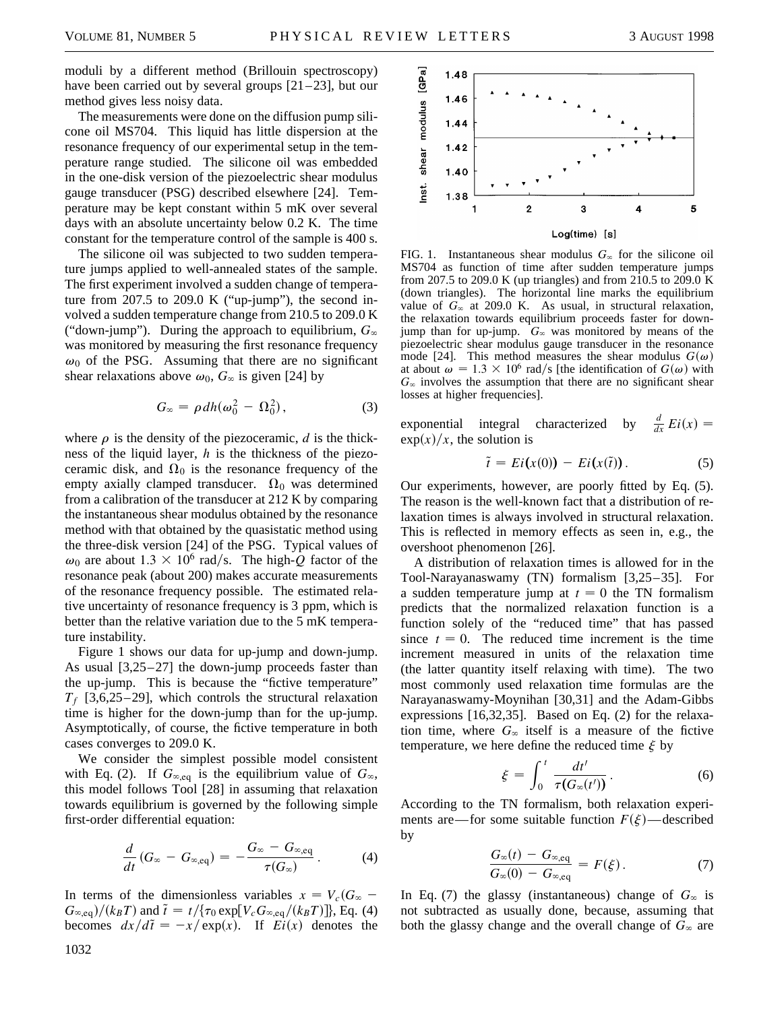moduli by a different method (Brillouin spectroscopy) have been carried out by several groups  $[21–23]$ , but our method gives less noisy data.

The measurements were done on the diffusion pump silicone oil MS704. This liquid has little dispersion at the resonance frequency of our experimental setup in the temperature range studied. The silicone oil was embedded in the one-disk version of the piezoelectric shear modulus gauge transducer (PSG) described elsewhere [24]. Temperature may be kept constant within 5 mK over several days with an absolute uncertainty below 0.2 K. The time constant for the temperature control of the sample is 400 s.

The silicone oil was subjected to two sudden temperature jumps applied to well-annealed states of the sample. The first experiment involved a sudden change of temperature from  $207.5$  to  $209.0$  K ("up-jump"), the second involved a sudden temperature change from 210.5 to 209.0 K ("down-jump"). During the approach to equilibrium,  $G_{\infty}$ was monitored by measuring the first resonance frequency  $\omega_0$  of the PSG. Assuming that there are no significant shear relaxations above  $\omega_0$ ,  $G_\infty$  is given [24] by

$$
G_{\infty} = \rho \, dh(\omega_0^2 - \Omega_0^2), \tag{3}
$$

where  $\rho$  is the density of the piezoceramic, *d* is the thickness of the liquid layer, *h* is the thickness of the piezoceramic disk, and  $\Omega_0$  is the resonance frequency of the empty axially clamped transducer.  $\Omega_0$  was determined from a calibration of the transducer at 212 K by comparing the instantaneous shear modulus obtained by the resonance method with that obtained by the quasistatic method using the three-disk version [24] of the PSG. Typical values of  $\omega_0$  are about 1.3  $\times$  10<sup>6</sup> rad/s. The high-*Q* factor of the resonance peak (about 200) makes accurate measurements of the resonance frequency possible. The estimated relative uncertainty of resonance frequency is 3 ppm, which is better than the relative variation due to the 5 mK temperature instability.

Figure 1 shows our data for up-jump and down-jump. As usual [3,25–27] the down-jump proceeds faster than the up-jump. This is because the "fictive temperature"  $T_f$  [3,6,25–29], which controls the structural relaxation time is higher for the down-jump than for the up-jump. Asymptotically, of course, the fictive temperature in both cases converges to 209.0 K.

We consider the simplest possible model consistent with Eq. (2). If  $G_{\infty,eq}$  is the equilibrium value of  $G_{\infty}$ , this model follows Tool [28] in assuming that relaxation towards equilibrium is governed by the following simple first-order differential equation:

$$
\frac{d}{dt}\left(G_{\infty}-G_{\infty,\text{eq}}\right)=-\frac{G_{\infty}-G_{\infty,\text{eq}}}{\tau(G_{\infty})}.
$$
 (4)

In terms of the dimensionless variables  $x = V_c(G_{\infty} G_{\infty,\text{eq}})/(k_B T)$  and  $\tilde{t} = t/\{\tau_0 \exp[V_c G_{\infty,\text{eq}}/(k_B T)]\}$ , Eq. (4) becomes  $dx/d\tilde{t} = -x/\exp(x)$ . If  $Ei(x)$  denotes the



FIG. 1. Instantaneous shear modulus  $G_{\infty}$  for the silicone oil MS704 as function of time after sudden temperature jumps from 207.5 to 209.0 K (up triangles) and from 210.5 to 209.0 K (down triangles). The horizontal line marks the equilibrium value of  $G_{\infty}$  at 209.0 K. As usual, in structural relaxation, the relaxation towards equilibrium proceeds faster for downjump than for up-jump.  $G_{\infty}$  was monitored by means of the piezoelectric shear modulus gauge transducer in the resonance mode [24]. This method measures the shear modulus  $G(\omega)$ at about  $\omega = 1.3 \times 10^6$  rad/s [the identification of  $G(\omega)$  with  $G_{\infty}$  involves the assumption that there are no significant shear losses at higher frequencies].

exponential integral characterized by  $\frac{d}{dx} E i(x) =$  $\exp(x)/x$ , the solution is

$$
\tilde{t} = Ei(x(0)) - Ei(x(\tilde{t})). \tag{5}
$$

Our experiments, however, are poorly fitted by Eq. (5). The reason is the well-known fact that a distribution of relaxation times is always involved in structural relaxation. This is reflected in memory effects as seen in, e.g., the overshoot phenomenon [26].

A distribution of relaxation times is allowed for in the Tool-Narayanaswamy (TN) formalism [3,25–35]. For a sudden temperature jump at  $t = 0$  the TN formalism predicts that the normalized relaxation function is a function solely of the "reduced time" that has passed since  $t = 0$ . The reduced time increment is the time increment measured in units of the relaxation time (the latter quantity itself relaxing with time). The two most commonly used relaxation time formulas are the Narayanaswamy-Moynihan [30,31] and the Adam-Gibbs expressions [16,32,35]. Based on Eq. (2) for the relaxation time, where  $G_{\infty}$  itself is a measure of the fictive temperature, we here define the reduced time  $\xi$  by

$$
\xi = \int_0^t \frac{dt'}{\tau(G_\infty(t'))}.
$$
 (6)

According to the TN formalism, both relaxation experiments are—for some suitable function  $F(\xi)$ —described by

$$
\frac{G_{\infty}(t) - G_{\infty,\text{eq}}}{G_{\infty}(0) - G_{\infty,\text{eq}}} = F(\xi).
$$
\n(7)

In Eq. (7) the glassy (instantaneous) change of  $G_{\infty}$  is not subtracted as usually done, because, assuming that both the glassy change and the overall change of  $G_\infty$  are